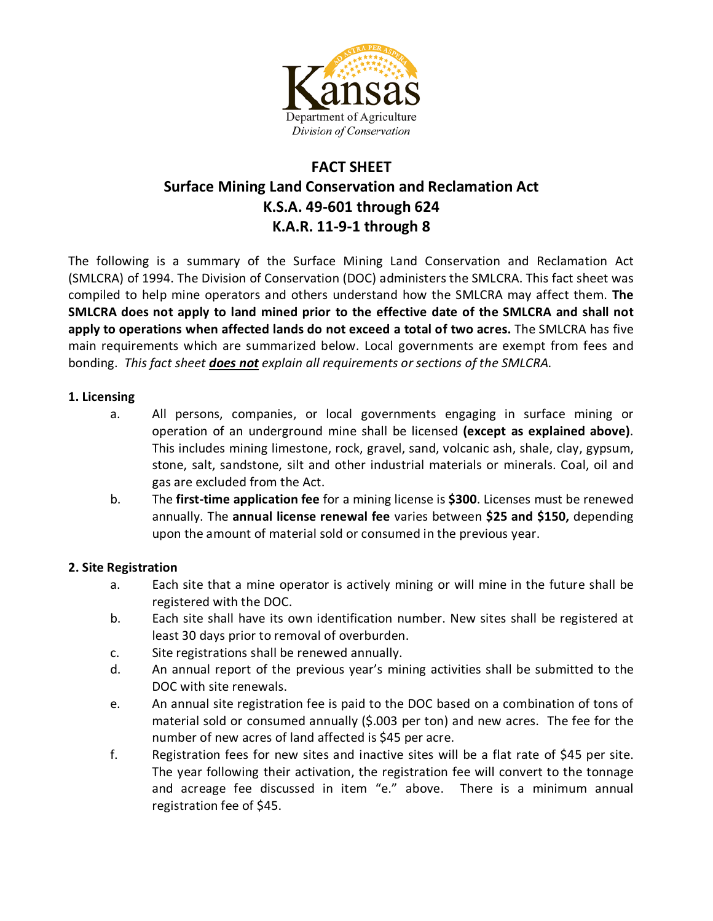

# **FACT SHEET Surface Mining Land Conservation and Reclamation Act K.S.A. 49-601 through 624 K.A.R. 11-9-1 through 8**

The following is a summary of the Surface Mining Land Conservation and Reclamation Act (SMLCRA) of 1994. The Division of Conservation (DOC) administers the SMLCRA. This fact sheet was compiled to help mine operators and others understand how the SMLCRA may affect them. **The SMLCRA does not apply to land mined prior to the effective date of the SMLCRA and shall not apply to operations when affected lands do not exceed a total of two acres.** The SMLCRA has five main requirements which are summarized below. Local governments are exempt from fees and bonding. *This fact sheet does not explain all requirements or sections of the SMLCRA.*

## **1. Licensing**

- a. All persons, companies, or local governments engaging in surface mining or operation of an underground mine shall be licensed **(except as explained above)**. This includes mining limestone, rock, gravel, sand, volcanic ash, shale, clay, gypsum, stone, salt, sandstone, silt and other industrial materials or minerals. Coal, oil and gas are excluded from the Act.
- b. The **first-time application fee** for a mining license is **\$300**. Licenses must be renewed annually. The **annual license renewal fee** varies between **\$25 and \$150,** depending upon the amount of material sold or consumed in the previous year.

### **2. Site Registration**

- a. Each site that a mine operator is actively mining or will mine in the future shall be registered with the DOC.
- b. Each site shall have its own identification number. New sites shall be registered at least 30 days prior to removal of overburden.
- c. Site registrations shall be renewed annually.
- d. An annual report of the previous year's mining activities shall be submitted to the DOC with site renewals.
- e. An annual site registration fee is paid to the DOC based on a combination of tons of material sold or consumed annually (\$.003 per ton) and new acres. The fee for the number of new acres of land affected is \$45 per acre.
- f. Registration fees for new sites and inactive sites will be a flat rate of \$45 per site. The year following their activation, the registration fee will convert to the tonnage and acreage fee discussed in item "e." above. There is a minimum annual registration fee of \$45.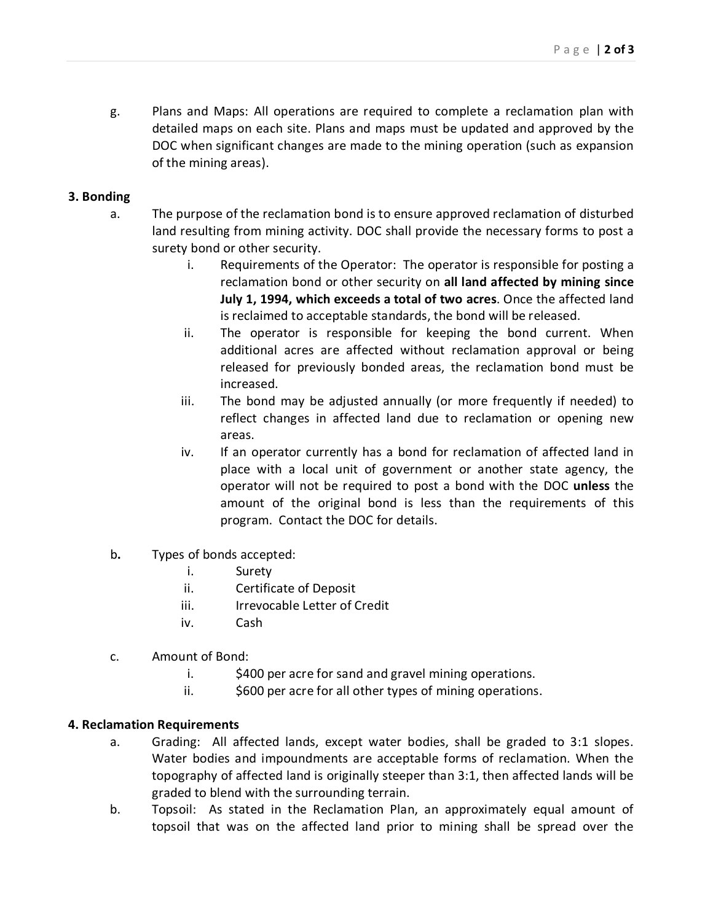g. Plans and Maps: All operations are required to complete a reclamation plan with detailed maps on each site. Plans and maps must be updated and approved by the DOC when significant changes are made to the mining operation (such as expansion of the mining areas).

### **3. Bonding**

- a. The purpose of the reclamation bond is to ensure approved reclamation of disturbed land resulting from mining activity. DOC shall provide the necessary forms to post a surety bond or other security.
	- i. Requirements of the Operator: The operator is responsible for posting a reclamation bond or other security on **all land affected by mining since July 1, 1994, which exceeds a total of two acres**. Once the affected land is reclaimed to acceptable standards, the bond will be released.
	- ii. The operator is responsible for keeping the bond current. When additional acres are affected without reclamation approval or being released for previously bonded areas, the reclamation bond must be increased.
	- iii. The bond may be adjusted annually (or more frequently if needed) to reflect changes in affected land due to reclamation or opening new areas.
	- iv. If an operator currently has a bond for reclamation of affected land in place with a local unit of government or another state agency, the operator will not be required to post a bond with the DOC **unless** the amount of the original bond is less than the requirements of this program. Contact the DOC for details.
- b**.** Types of bonds accepted:
	- i. Surety
	- ii. Certificate of Deposit
	- iii. Irrevocable Letter of Credit
	- iv. Cash
- c. Amount of Bond:
	- i.  $\frac{1}{2}$  \$400 per acre for sand and gravel mining operations.
	- ii.  $\frac{1}{5600}$  per acre for all other types of mining operations.

### **4. Reclamation Requirements**

- a. Grading: All affected lands, except water bodies, shall be graded to 3:1 slopes. Water bodies and impoundments are acceptable forms of reclamation. When the topography of affected land is originally steeper than 3:1, then affected lands will be graded to blend with the surrounding terrain.
- b. Topsoil: As stated in the Reclamation Plan, an approximately equal amount of topsoil that was on the affected land prior to mining shall be spread over the